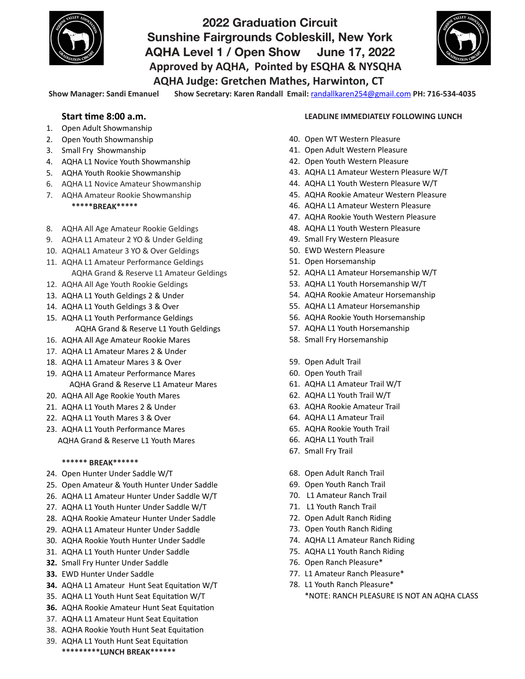

# **2022 Graduation Circuit Sunshine Fairgrounds Cobleskill, New York AQHA Level 1 / Open Show June 17, 2022**  Approved by AQHA, Pointed by ESQHA & NYSQHA **AQHA Judge: Gretchen Mathes, Harwinton, CT**



Show Manager: Sandi Emanuel Show Secretary: Karen Randall Email: [randallkaren254@gmail.com](mailto:randallkaren254@gmail.com) PH: 716-534-4035

#### **Start time 8:00 a.m.**

- 1. Open Adult Showmanship
- 2. Open Youth Showmanship
- 3. Small Fry Showmanship
- 4. AQHA L1 Novice Youth Showmanship
- 5. AQHA Youth Rookie Showmanship
- 6. AQHA L1 Novice Amateur Showmanship
- 7. AQHA Amateur Rookie Showmanship  **\*\*\*\*\*BREAK\*\*\*\*\***
- 8. AQHA All Age Amateur Rookie Geldings
- 9. AQHA L1 Amateur 2 YO & Under Gelding
- 10. AQHAL1 Amateur 3 YO & Over Geldings
- 11. AQHA L1 Amateur Performance Geldings AQHA Grand & Reserve L1 Amateur Geldings
- 12. AQHA All Age Youth Rookie Geldings
- 13. AQHA L1 Youth Geldings 2 & Under
- 14. AQHA L1 Youth Geldings 3 & Over
- 15. AQHA L1 Youth Performance Geldings AQHA Grand & Reserve L1 Youth Geldings
- 16. AQHA All Age Amateur Rookie Mares
- 17. AQHA L1 Amateur Mares 2 & Under
- 18. AQHA L1 Amateur Mares 3 & Over
- 19. AQHA L1 Amateur Performance Mares AQHA Grand & Reserve L1 Amateur Mares
- 20. AQHA All Age Rookie Youth Mares
- 21. AQHA L1 Youth Mares 2 & Under
- 22. AQHA L1 Youth Mares 3 & Over
- 23. AQHA L1 Youth Performance Mares AOHA Grand & Reserve L1 Youth Mares

#### **\*\*\*\*\*\* BREAK\*\*\*\*\*\***

- 24. Open Hunter Under Saddle W/T
- 25. Open Amateur & Youth Hunter Under Saddle
- 26. AQHA L1 Amateur Hunter Under Saddle W/T
- 27. AOHA L1 Youth Hunter Under Saddle W/T
- 28. AQHA Rookie Amateur Hunter Under Saddle
- 29. AQHA L1 Amateur Hunter Under Saddle
- 30. AOHA Rookie Youth Hunter Under Saddle
- 31. AQHA L1 Youth Hunter Under Saddle
- **32.** Small Fry Hunter Under Saddle
- **33.** EWD Hunter Under Saddle
- **34.** AQHA L1 Amateur Hunt Seat Equitation W/T
- 35. AQHA L1 Youth Hunt Seat Equitation W/T
- **36.** AQHA Rookie Amateur Hunt Seat Equitation
- 37. AQHA L1 Amateur Hunt Seat Equitation
- 38. AQHA Rookie Youth Hunt Seat Equitation
- 39. AQHA L1 Youth Hunt Seat Equitation **\*\*\*\*\*\*\*\*\*LUNCH BREAK\*\*\*\*\*\***

#### **LEADLINE IMMEDIATELY FOLLOWING LUNCH**

- 40. Open WT Western Pleasure
- 41. Open Adult Western Pleasure
- 42. Open Youth Western Pleasure
- 43. AQHA L1 Amateur Western Pleasure W/T
- 44. AQHA L1 Youth Western Pleasure W/T
- 45. AQHA Rookie Amateur Western Pleasure
- 46. AOHA L1 Amateur Western Pleasure
- 47. AQHA Rookie Youth Western Pleasure
- 48. AQHA L1 Youth Western Pleasure
- 49. Small Fry Western Pleasure
- 50. EWD Western Pleasure
- 51. Open Horsemanship
- 52. AQHA L1 Amateur Horsemanship W/T
- 53. AQHA L1 Youth Horsemanship W/T
- 54. AQHA Rookie Amateur Horsemanship
- 55. AQHA L1 Amateur Horsemanship
- 56. AQHA Rookie Youth Horsemanship
- 57. AQHA L1 Youth Horsemanship
- 58. Small Fry Horsemanship
- 59. Open Adult Trail
- 60. Open Youth Trail
- 61. AQHA L1 Amateur Trail W/T
- 62. AQHA L1 Youth Trail W/T
- 63. AQHA Rookie Amateur Trail
- 64. AQHA L1 Amateur Trail
- 65. AQHA Rookie Youth Trail
- 66. AQHA L1 Youth Trail
- 67. Small Fry Trail
- 68. Open Adult Ranch Trail
- 69. Open Youth Ranch Trail
- 70. L1 Amateur Ranch Trail
- 71. L1 Youth Ranch Trail
- 72. Open Adult Ranch Riding
- 73. Open Youth Ranch Riding
- 74. AQHA L1 Amateur Ranch Riding
- 75. AQHA L1 Youth Ranch Riding
- 76. Open Ranch Pleasure\*
- 77. L1 Amateur Ranch Pleasure\*
- 78. L1 Youth Ranch Pleasure\* \*NOTE: RANCH PLEASURE IS NOT AN AQHA CLASS